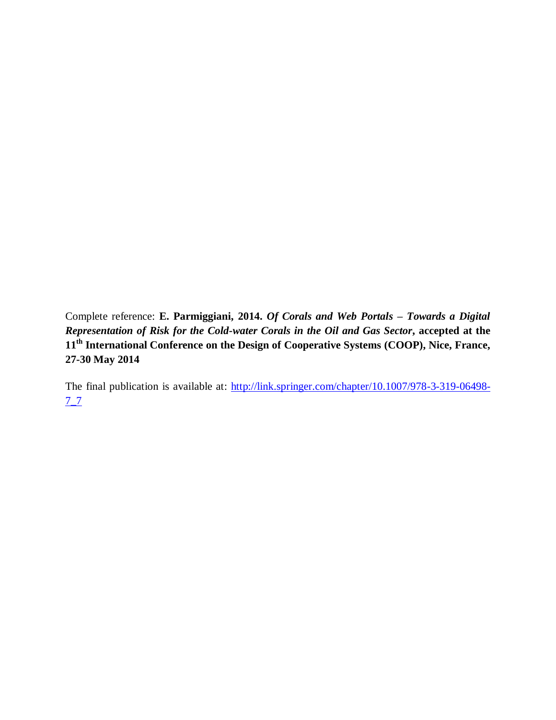Complete reference: **E. Parmiggiani, 2014.** *Of Corals and Web Portals – Towards a Digital Representation of Risk for the Cold-water Corals in the Oil and Gas Sector***, accepted at the 11th International Conference on the Design of Cooperative Systems (COOP), Nice, France, 27-30 May 2014**

The final publication is available at: [http://link.springer.com/chapter/10.1007/978-3-319-06498-](http://link.springer.com/chapter/10.1007/978-3-319-06498-7_7) [7\\_7](http://link.springer.com/chapter/10.1007/978-3-319-06498-7_7)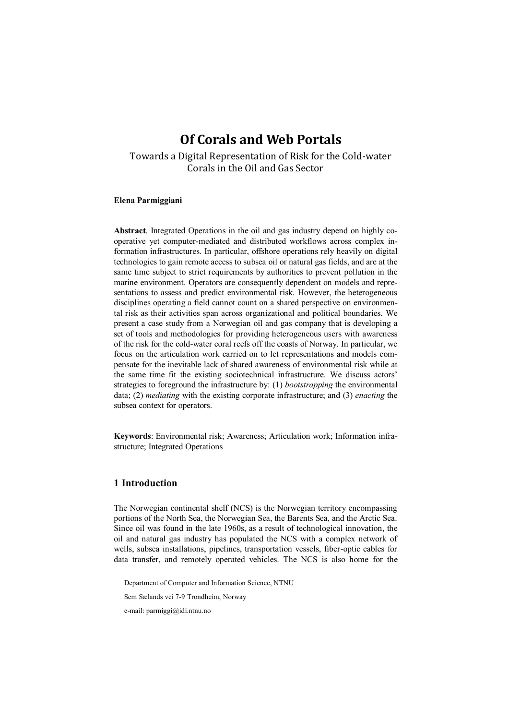# **Of Corals and Web Portals**

## Towards a Digital Representation of Risk for the Cold-water Corals in the Oil and Gas Sector

### **Elena Parmiggiani**

**Abstract**. Integrated Operations in the oil and gas industry depend on highly cooperative yet computer-mediated and distributed workflows across complex information infrastructures. In particular, offshore operations rely heavily on digital technologies to gain remote access to subsea oil or natural gas fields, and are at the same time subject to strict requirements by authorities to prevent pollution in the marine environment. Operators are consequently dependent on models and representations to assess and predict environmental risk. However, the heterogeneous disciplines operating a field cannot count on a shared perspective on environmental risk as their activities span across organizational and political boundaries. We present a case study from a Norwegian oil and gas company that is developing a set of tools and methodologies for providing heterogeneous users with awareness of the risk for the cold-water coral reefs off the coasts of Norway. In particular, we focus on the articulation work carried on to let representations and models compensate for the inevitable lack of shared awareness of environmental risk while at the same time fit the existing sociotechnical infrastructure. We discuss actors' strategies to foreground the infrastructure by: (1) *bootstrapping* the environmental data; (2) *mediating* with the existing corporate infrastructure; and (3) *enacting* the subsea context for operators.

**Keywords**: Environmental risk; Awareness; Articulation work; Information infrastructure; Integrated Operations

## **1 Introduction**

The Norwegian continental shelf (NCS) is the Norwegian territory encompassing portions of the North Sea, the Norwegian Sea, the Barents Sea, and the Arctic Sea. Since oil was found in the late 1960s, as a result of technological innovation, the oil and natural gas industry has populated the NCS with a complex network of wells, subsea installations, pipelines, transportation vessels, fiber-optic cables for data transfer, and remotely operated vehicles. The NCS is also home for the

Department of Computer and Information Science, NTNU

Sem Sælands vei 7-9 Trondheim, Norway

e-mail: parmiggi@idi.ntnu.no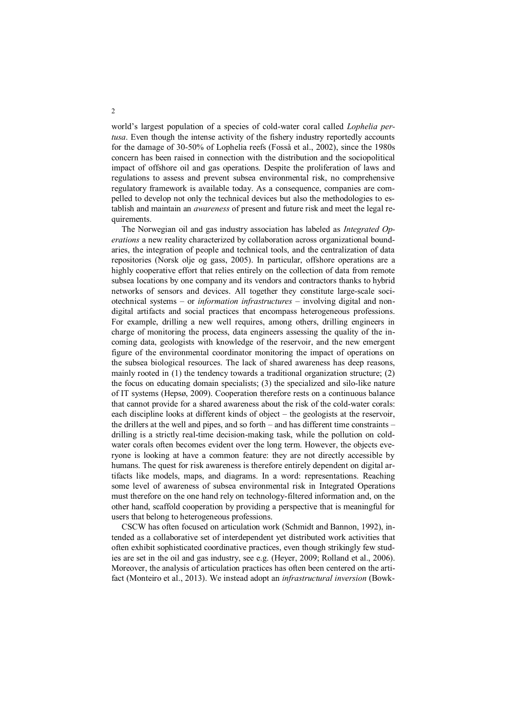world's largest population of a species of cold-water coral called *Lophelia pertusa*. Even though the intense activity of the fishery industry reportedly accounts for the damage of 30-50% of Lophelia reefs (Fosså et al., 2002), since the 1980s concern has been raised in connection with the distribution and the sociopolitical impact of offshore oil and gas operations. Despite the proliferation of laws and regulations to assess and prevent subsea environmental risk, no comprehensive regulatory framework is available today. As a consequence, companies are compelled to develop not only the technical devices but also the methodologies to establish and maintain an *awareness* of present and future risk and meet the legal requirements.

The Norwegian oil and gas industry association has labeled as *Integrated Operations* a new reality characterized by collaboration across organizational boundaries, the integration of people and technical tools, and the centralization of data repositories (Norsk olje og gass, 2005). In particular, offshore operations are a highly cooperative effort that relies entirely on the collection of data from remote subsea locations by one company and its vendors and contractors thanks to hybrid networks of sensors and devices. All together they constitute large-scale sociotechnical systems – or *information infrastructures* – involving digital and nondigital artifacts and social practices that encompass heterogeneous professions. For example, drilling a new well requires, among others, drilling engineers in charge of monitoring the process, data engineers assessing the quality of the incoming data, geologists with knowledge of the reservoir, and the new emergent figure of the environmental coordinator monitoring the impact of operations on the subsea biological resources. The lack of shared awareness has deep reasons, mainly rooted in (1) the tendency towards a traditional organization structure; (2) the focus on educating domain specialists; (3) the specialized and silo-like nature of IT systems (Hepsø, 2009). Cooperation therefore rests on a continuous balance that cannot provide for a shared awareness about the risk of the cold-water corals: each discipline looks at different kinds of object – the geologists at the reservoir, the drillers at the well and pipes, and so forth – and has different time constraints – drilling is a strictly real-time decision-making task, while the pollution on coldwater corals often becomes evident over the long term. However, the objects everyone is looking at have a common feature: they are not directly accessible by humans. The quest for risk awareness is therefore entirely dependent on digital artifacts like models, maps, and diagrams. In a word: representations. Reaching some level of awareness of subsea environmental risk in Integrated Operations must therefore on the one hand rely on technology-filtered information and, on the other hand, scaffold cooperation by providing a perspective that is meaningful for users that belong to heterogeneous professions.

CSCW has often focused on articulation work (Schmidt and Bannon, 1992), intended as a collaborative set of interdependent yet distributed work activities that often exhibit sophisticated coordinative practices, even though strikingly few studies are set in the oil and gas industry, see e.g. (Heyer, 2009; Rolland et al., 2006). Moreover, the analysis of articulation practices has often been centered on the artifact (Monteiro et al., 2013). We instead adopt an *infrastructural inversion* (Bowk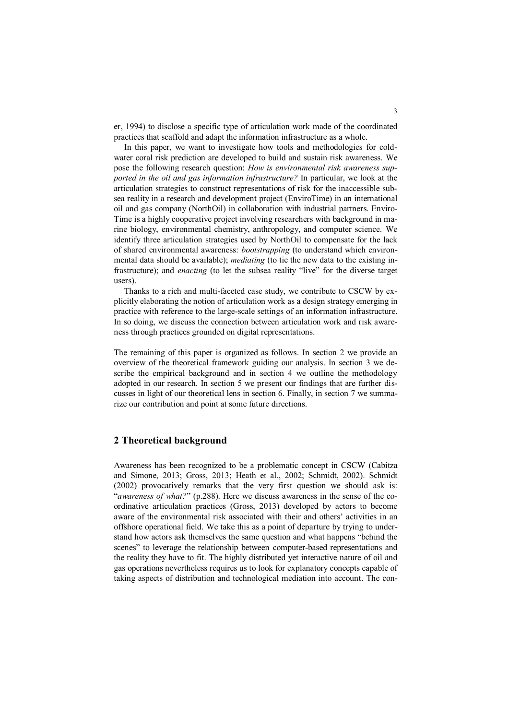er, 1994) to disclose a specific type of articulation work made of the coordinated practices that scaffold and adapt the information infrastructure as a whole.

In this paper, we want to investigate how tools and methodologies for coldwater coral risk prediction are developed to build and sustain risk awareness. We pose the following research question: *How is environmental risk awareness supported in the oil and gas information infrastructure?* In particular, we look at the articulation strategies to construct representations of risk for the inaccessible subsea reality in a research and development project (EnviroTime) in an international oil and gas company (NorthOil) in collaboration with industrial partners. Enviro-Time is a highly cooperative project involving researchers with background in marine biology, environmental chemistry, anthropology, and computer science. We identify three articulation strategies used by NorthOil to compensate for the lack of shared environmental awareness: *bootstrapping* (to understand which environmental data should be available); *mediating* (to tie the new data to the existing infrastructure); and *enacting* (to let the subsea reality "live" for the diverse target users).

Thanks to a rich and multi-faceted case study, we contribute to CSCW by explicitly elaborating the notion of articulation work as a design strategy emerging in practice with reference to the large-scale settings of an information infrastructure. In so doing, we discuss the connection between articulation work and risk awareness through practices grounded on digital representations.

The remaining of this paper is organized as follows. In section 2 we provide an overview of the theoretical framework guiding our analysis. In section 3 we describe the empirical background and in section 4 we outline the methodology adopted in our research. In section 5 we present our findings that are further discusses in light of our theoretical lens in section 6. Finally, in section 7 we summarize our contribution and point at some future directions.

## **2 Theoretical background**

Awareness has been recognized to be a problematic concept in CSCW (Cabitza and Simone, 2013; Gross, 2013; Heath et al., 2002; Schmidt, 2002). Schmidt (2002) provocatively remarks that the very first question we should ask is: "*awareness of what?*" (p.288). Here we discuss awareness in the sense of the coordinative articulation practices (Gross, 2013) developed by actors to become aware of the environmental risk associated with their and others' activities in an offshore operational field. We take this as a point of departure by trying to understand how actors ask themselves the same question and what happens "behind the scenes" to leverage the relationship between computer-based representations and the reality they have to fit. The highly distributed yet interactive nature of oil and gas operations nevertheless requires us to look for explanatory concepts capable of taking aspects of distribution and technological mediation into account. The con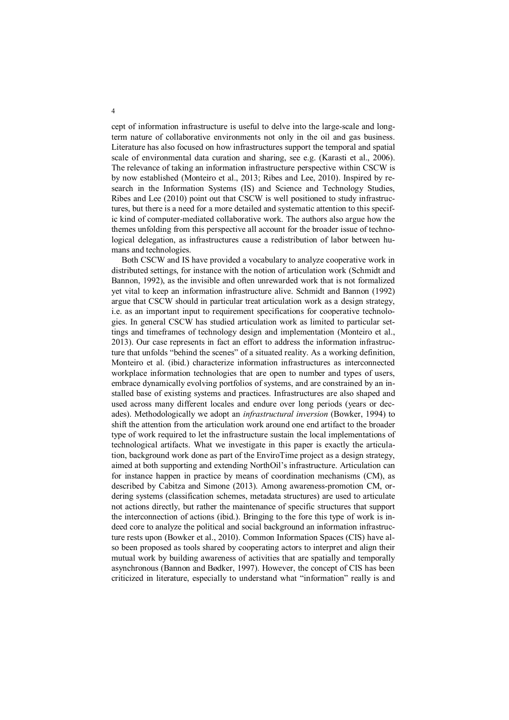cept of information infrastructure is useful to delve into the large-scale and longterm nature of collaborative environments not only in the oil and gas business. Literature has also focused on how infrastructures support the temporal and spatial scale of environmental data curation and sharing, see e.g. (Karasti et al., 2006). The relevance of taking an information infrastructure perspective within CSCW is by now established (Monteiro et al., 2013; Ribes and Lee, 2010). Inspired by research in the Information Systems (IS) and Science and Technology Studies, Ribes and Lee (2010) point out that CSCW is well positioned to study infrastructures, but there is a need for a more detailed and systematic attention to this specific kind of computer-mediated collaborative work. The authors also argue how the themes unfolding from this perspective all account for the broader issue of technological delegation, as infrastructures cause a redistribution of labor between humans and technologies.

Both CSCW and IS have provided a vocabulary to analyze cooperative work in distributed settings, for instance with the notion of articulation work (Schmidt and Bannon, 1992), as the invisible and often unrewarded work that is not formalized yet vital to keep an information infrastructure alive. Schmidt and Bannon (1992) argue that CSCW should in particular treat articulation work as a design strategy, i.e. as an important input to requirement specifications for cooperative technologies. In general CSCW has studied articulation work as limited to particular settings and timeframes of technology design and implementation (Monteiro et al., 2013). Our case represents in fact an effort to address the information infrastructure that unfolds "behind the scenes" of a situated reality. As a working definition, Monteiro et al. (ibid.) characterize information infrastructures as interconnected workplace information technologies that are open to number and types of users, embrace dynamically evolving portfolios of systems, and are constrained by an installed base of existing systems and practices. Infrastructures are also shaped and used across many different locales and endure over long periods (years or decades). Methodologically we adopt an *infrastructural inversion* (Bowker, 1994) to shift the attention from the articulation work around one end artifact to the broader type of work required to let the infrastructure sustain the local implementations of technological artifacts. What we investigate in this paper is exactly the articulation, background work done as part of the EnviroTime project as a design strategy, aimed at both supporting and extending NorthOil's infrastructure. Articulation can for instance happen in practice by means of coordination mechanisms (CM), as described by Cabitza and Simone (2013). Among awareness-promotion CM, ordering systems (classification schemes, metadata structures) are used to articulate not actions directly, but rather the maintenance of specific structures that support the interconnection of actions (ibid.). Bringing to the fore this type of work is indeed core to analyze the political and social background an information infrastructure rests upon (Bowker et al., 2010). Common Information Spaces (CIS) have also been proposed as tools shared by cooperating actors to interpret and align their mutual work by building awareness of activities that are spatially and temporally asynchronous (Bannon and Bødker, 1997). However, the concept of CIS has been criticized in literature, especially to understand what "information" really is and

4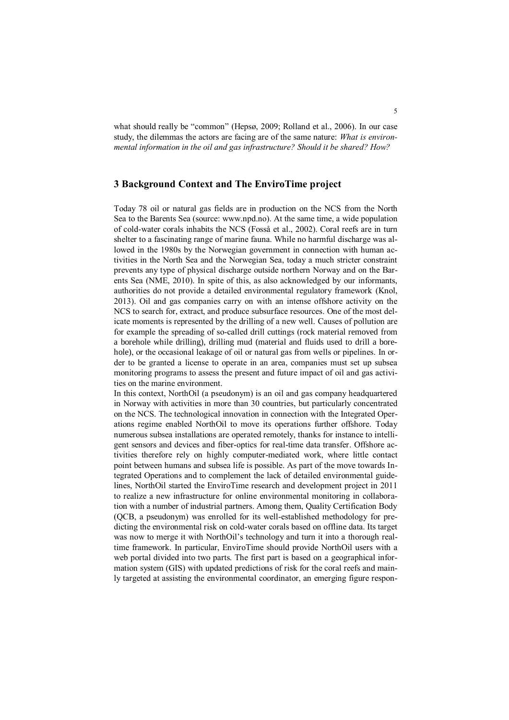what should really be "common" (Hepsø, 2009; Rolland et al., 2006). In our case study, the dilemmas the actors are facing are of the same nature: *What is environmental information in the oil and gas infrastructure? Should it be shared? How?*

## **3 Background Context and The EnviroTime project**

Today 78 oil or natural gas fields are in production on the NCS from the North Sea to the Barents Sea (source: www.npd.no). At the same time, a wide population of cold-water corals inhabits the NCS (Fosså et al., 2002). Coral reefs are in turn shelter to a fascinating range of marine fauna. While no harmful discharge was allowed in the 1980s by the Norwegian government in connection with human activities in the North Sea and the Norwegian Sea, today a much stricter constraint prevents any type of physical discharge outside northern Norway and on the Barents Sea (NME, 2010). In spite of this, as also acknowledged by our informants, authorities do not provide a detailed environmental regulatory framework (Knol, 2013). Oil and gas companies carry on with an intense offshore activity on the NCS to search for, extract, and produce subsurface resources. One of the most delicate moments is represented by the drilling of a new well. Causes of pollution are for example the spreading of so-called drill cuttings (rock material removed from a borehole while drilling), drilling mud (material and fluids used to drill a borehole), or the occasional leakage of oil or natural gas from wells or pipelines. In order to be granted a license to operate in an area, companies must set up subsea monitoring programs to assess the present and future impact of oil and gas activities on the marine environment.

In this context, NorthOil (a pseudonym) is an oil and gas company headquartered in Norway with activities in more than 30 countries, but particularly concentrated on the NCS. The technological innovation in connection with the Integrated Operations regime enabled NorthOil to move its operations further offshore. Today numerous subsea installations are operated remotely, thanks for instance to intelligent sensors and devices and fiber-optics for real-time data transfer. Offshore activities therefore rely on highly computer-mediated work, where little contact point between humans and subsea life is possible. As part of the move towards Integrated Operations and to complement the lack of detailed environmental guidelines, NorthOil started the EnviroTime research and development project in 2011 to realize a new infrastructure for online environmental monitoring in collaboration with a number of industrial partners. Among them, Quality Certification Body (QCB, a pseudonym) was enrolled for its well-established methodology for predicting the environmental risk on cold-water corals based on offline data. Its target was now to merge it with NorthOil's technology and turn it into a thorough realtime framework. In particular, EnviroTime should provide NorthOil users with a web portal divided into two parts. The first part is based on a geographical information system (GIS) with updated predictions of risk for the coral reefs and mainly targeted at assisting the environmental coordinator, an emerging figure respon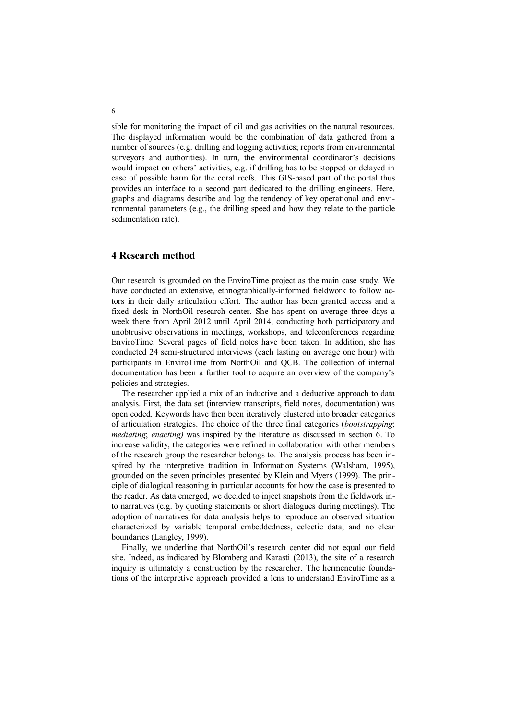sible for monitoring the impact of oil and gas activities on the natural resources. The displayed information would be the combination of data gathered from a number of sources (e.g. drilling and logging activities; reports from environmental surveyors and authorities). In turn, the environmental coordinator's decisions would impact on others' activities, e.g. if drilling has to be stopped or delayed in case of possible harm for the coral reefs. This GIS-based part of the portal thus provides an interface to a second part dedicated to the drilling engineers. Here, graphs and diagrams describe and log the tendency of key operational and environmental parameters (e.g., the drilling speed and how they relate to the particle sedimentation rate).

## **4 Research method**

Our research is grounded on the EnviroTime project as the main case study. We have conducted an extensive, ethnographically-informed fieldwork to follow actors in their daily articulation effort. The author has been granted access and a fixed desk in NorthOil research center. She has spent on average three days a week there from April 2012 until April 2014, conducting both participatory and unobtrusive observations in meetings, workshops, and teleconferences regarding EnviroTime. Several pages of field notes have been taken. In addition, she has conducted 24 semi-structured interviews (each lasting on average one hour) with participants in EnviroTime from NorthOil and QCB. The collection of internal documentation has been a further tool to acquire an overview of the company's policies and strategies.

The researcher applied a mix of an inductive and a deductive approach to data analysis. First, the data set (interview transcripts, field notes, documentation) was open coded. Keywords have then been iteratively clustered into broader categories of articulation strategies. The choice of the three final categories (*bootstrapping*; *mediating*; *enacting)* was inspired by the literature as discussed in section 6. To increase validity, the categories were refined in collaboration with other members of the research group the researcher belongs to. The analysis process has been inspired by the interpretive tradition in Information Systems (Walsham, 1995), grounded on the seven principles presented by Klein and Myers (1999). The principle of dialogical reasoning in particular accounts for how the case is presented to the reader. As data emerged, we decided to inject snapshots from the fieldwork into narratives (e.g. by quoting statements or short dialogues during meetings). The adoption of narratives for data analysis helps to reproduce an observed situation characterized by variable temporal embeddedness, eclectic data, and no clear boundaries (Langley, 1999).

Finally, we underline that NorthOil's research center did not equal our field site. Indeed, as indicated by Blomberg and Karasti (2013), the site of a research inquiry is ultimately a construction by the researcher. The hermeneutic foundations of the interpretive approach provided a lens to understand EnviroTime as a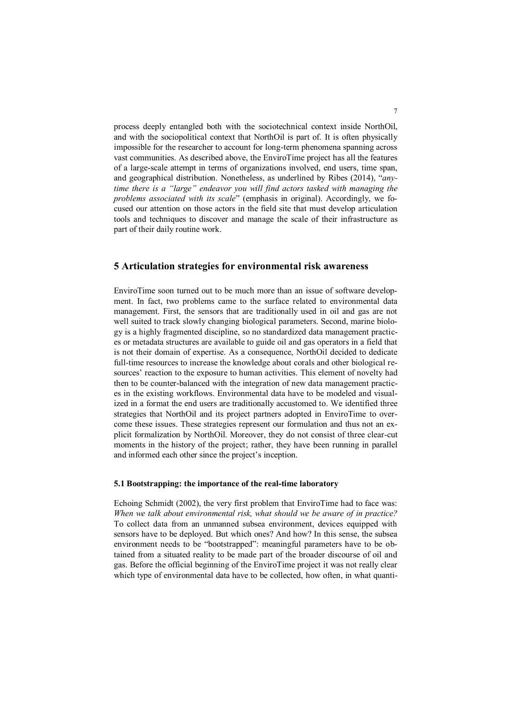process deeply entangled both with the sociotechnical context inside NorthOil, and with the sociopolitical context that NorthOil is part of. It is often physically impossible for the researcher to account for long-term phenomena spanning across vast communities. As described above, the EnviroTime project has all the features of a large-scale attempt in terms of organizations involved, end users, time span, and geographical distribution. Nonetheless, as underlined by Ribes (2014), "*anytime there is a "large" endeavor you will find actors tasked with managing the problems associated with its scale*" (emphasis in original). Accordingly, we focused our attention on those actors in the field site that must develop articulation tools and techniques to discover and manage the scale of their infrastructure as part of their daily routine work.

## **5 Articulation strategies for environmental risk awareness**

EnviroTime soon turned out to be much more than an issue of software development. In fact, two problems came to the surface related to environmental data management. First, the sensors that are traditionally used in oil and gas are not well suited to track slowly changing biological parameters. Second, marine biology is a highly fragmented discipline, so no standardized data management practices or metadata structures are available to guide oil and gas operators in a field that is not their domain of expertise. As a consequence, NorthOil decided to dedicate full-time resources to increase the knowledge about corals and other biological resources' reaction to the exposure to human activities. This element of novelty had then to be counter-balanced with the integration of new data management practices in the existing workflows. Environmental data have to be modeled and visualized in a format the end users are traditionally accustomed to. We identified three strategies that NorthOil and its project partners adopted in EnviroTime to overcome these issues. These strategies represent our formulation and thus not an explicit formalization by NorthOil. Moreover, they do not consist of three clear-cut moments in the history of the project; rather, they have been running in parallel and informed each other since the project's inception.

#### **5.1 Bootstrapping: the importance of the real-time laboratory**

Echoing Schmidt (2002), the very first problem that EnviroTime had to face was: *When we talk about environmental risk, what should we be aware of in practice?* To collect data from an unmanned subsea environment, devices equipped with sensors have to be deployed. But which ones? And how? In this sense, the subsea environment needs to be "bootstrapped": meaningful parameters have to be obtained from a situated reality to be made part of the broader discourse of oil and gas. Before the official beginning of the EnviroTime project it was not really clear which type of environmental data have to be collected, how often, in what quanti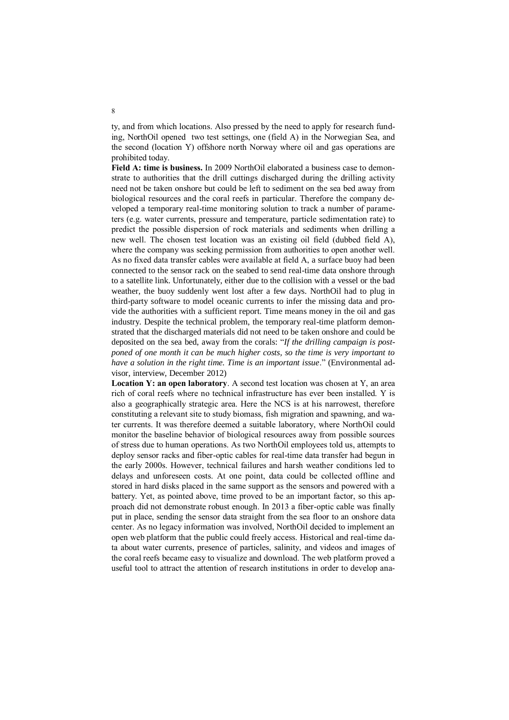ty, and from which locations. Also pressed by the need to apply for research funding, NorthOil opened two test settings, one (field A) in the Norwegian Sea, and the second (location Y) offshore north Norway where oil and gas operations are prohibited today.

**Field A: time is business.** In 2009 NorthOil elaborated a business case to demonstrate to authorities that the drill cuttings discharged during the drilling activity need not be taken onshore but could be left to sediment on the sea bed away from biological resources and the coral reefs in particular. Therefore the company developed a temporary real-time monitoring solution to track a number of parameters (e.g. water currents, pressure and temperature, particle sedimentation rate) to predict the possible dispersion of rock materials and sediments when drilling a new well. The chosen test location was an existing oil field (dubbed field A), where the company was seeking permission from authorities to open another well. As no fixed data transfer cables were available at field A, a surface buoy had been connected to the sensor rack on the seabed to send real-time data onshore through to a satellite link. Unfortunately, either due to the collision with a vessel or the bad weather, the buoy suddenly went lost after a few days. NorthOil had to plug in third-party software to model oceanic currents to infer the missing data and provide the authorities with a sufficient report. Time means money in the oil and gas industry. Despite the technical problem, the temporary real-time platform demonstrated that the discharged materials did not need to be taken onshore and could be deposited on the sea bed, away from the corals: "*If the drilling campaign is postponed of one month it can be much higher costs, so the time is very important to have a solution in the right time. Time is an important issue*." (Environmental advisor, interview, December 2012)

**Location Y: an open laboratory**. A second test location was chosen at Y, an area rich of coral reefs where no technical infrastructure has ever been installed. Y is also a geographically strategic area. Here the NCS is at his narrowest, therefore constituting a relevant site to study biomass, fish migration and spawning, and water currents. It was therefore deemed a suitable laboratory, where NorthOil could monitor the baseline behavior of biological resources away from possible sources of stress due to human operations. As two NorthOil employees told us, attempts to deploy sensor racks and fiber-optic cables for real-time data transfer had begun in the early 2000s. However, technical failures and harsh weather conditions led to delays and unforeseen costs. At one point, data could be collected offline and stored in hard disks placed in the same support as the sensors and powered with a battery. Yet, as pointed above, time proved to be an important factor, so this approach did not demonstrate robust enough. In 2013 a fiber-optic cable was finally put in place, sending the sensor data straight from the sea floor to an onshore data center. As no legacy information was involved, NorthOil decided to implement an open web platform that the public could freely access. Historical and real-time data about water currents, presence of particles, salinity, and videos and images of the coral reefs became easy to visualize and download. The web platform proved a useful tool to attract the attention of research institutions in order to develop ana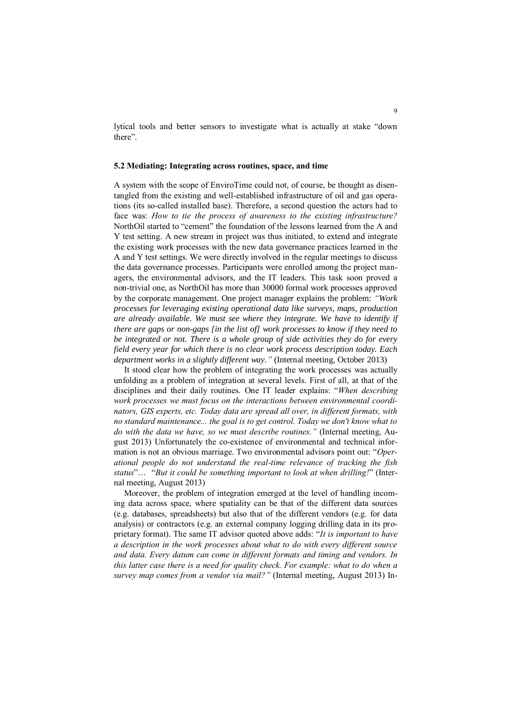lytical tools and better sensors to investigate what is actually at stake "down there".

## **5.2 Mediating: Integrating across routines, space, and time**

A system with the scope of EnviroTime could not, of course, be thought as disentangled from the existing and well-established infrastructure of oil and gas operations (its so-called installed base). Therefore, a second question the actors had to face was: *How to tie the process of awareness to the existing infrastructure?* NorthOil started to "cement" the foundation of the lessons learned from the A and Y test setting. A new stream in project was thus initiated, to extend and integrate the existing work processes with the new data governance practices learned in the A and Y test settings. We were directly involved in the regular meetings to discuss the data governance processes. Participants were enrolled among the project managers, the environmental advisors, and the IT leaders. This task soon proved a non-trivial one, as NorthOil has more than 30000 formal work processes approved by the corporate management. One project manager explains the problem: *"Work processes for leveraging existing operational data like surveys, maps, production are already available. We must see where they integrate. We have to identify if there are gaps or non-gaps [in the list of] work processes to know if they need to be integrated or not. There is a whole group of side activities they do for every field every year for which there is no clear work process description today. Each department works in a slightly different way."* (Internal meeting, October 2013)

It stood clear how the problem of integrating the work processes was actually unfolding as a problem of integration at several levels. First of all, at that of the disciplines and their daily routines. One IT leader explains: "*When describing work processes we must focus on the interactions between environmental coordinators, GIS experts, etc. Today data are spread all over, in different formats, with no standard maintenance... the goal is to get control. Today we don't know what to do with the data we have, so we must describe routines."* (Internal meeting, August 2013) Unfortunately the co-existence of environmental and technical information is not an obvious marriage. Two environmental advisors point out: "*Operational people do not understand the real-time relevance of tracking the fish status*"… "*But it could be something important to look at when drilling!*" (Internal meeting, August 2013)

Moreover, the problem of integration emerged at the level of handling incoming data across space, where spatiality can be that of the different data sources (e.g. databases, spreadsheets) but also that of the different vendors (e.g. for data analysis) or contractors (e.g. an external company logging drilling data in its proprietary format). The same IT advisor quoted above adds: "*It is important to have a description in the work processes about what to do with every different source and data. Every datum can come in different formats and timing and vendors. In this latter case there is a need for quality check. For example: what to do when a survey map comes from a vendor via mail?"* (Internal meeting, August 2013) In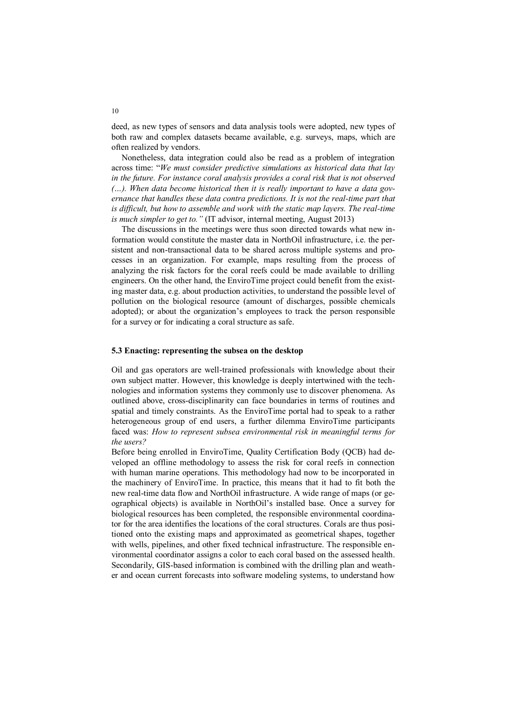deed, as new types of sensors and data analysis tools were adopted, new types of both raw and complex datasets became available, e.g. surveys, maps, which are often realized by vendors.

Nonetheless, data integration could also be read as a problem of integration across time: "*We must consider predictive simulations as historical data that lay in the future. For instance coral analysis provides a coral risk that is not observed (…). When data become historical then it is really important to have a data governance that handles these data contra predictions. It is not the real-time part that is difficult, but how to assemble and work with the static map layers. The real-time is much simpler to get to."* (IT advisor, internal meeting, August 2013)

The discussions in the meetings were thus soon directed towards what new information would constitute the master data in NorthOil infrastructure, i.e. the persistent and non-transactional data to be shared across multiple systems and processes in an organization. For example, maps resulting from the process of analyzing the risk factors for the coral reefs could be made available to drilling engineers. On the other hand, the EnviroTime project could benefit from the existing master data, e.g. about production activities, to understand the possible level of pollution on the biological resource (amount of discharges, possible chemicals adopted); or about the organization's employees to track the person responsible for a survey or for indicating a coral structure as safe.

## **5.3 Enacting: representing the subsea on the desktop**

Oil and gas operators are well-trained professionals with knowledge about their own subject matter. However, this knowledge is deeply intertwined with the technologies and information systems they commonly use to discover phenomena. As outlined above, cross-disciplinarity can face boundaries in terms of routines and spatial and timely constraints. As the EnviroTime portal had to speak to a rather heterogeneous group of end users, a further dilemma EnviroTime participants faced was: *How to represent subsea environmental risk in meaningful terms for the users?*

Before being enrolled in EnviroTime, Quality Certification Body (QCB) had developed an offline methodology to assess the risk for coral reefs in connection with human marine operations. This methodology had now to be incorporated in the machinery of EnviroTime. In practice, this means that it had to fit both the new real-time data flow and NorthOil infrastructure. A wide range of maps (or geographical objects) is available in NorthOil's installed base. Once a survey for biological resources has been completed, the responsible environmental coordinator for the area identifies the locations of the coral structures. Corals are thus positioned onto the existing maps and approximated as geometrical shapes, together with wells, pipelines, and other fixed technical infrastructure. The responsible environmental coordinator assigns a color to each coral based on the assessed health. Secondarily, GIS-based information is combined with the drilling plan and weather and ocean current forecasts into software modeling systems, to understand how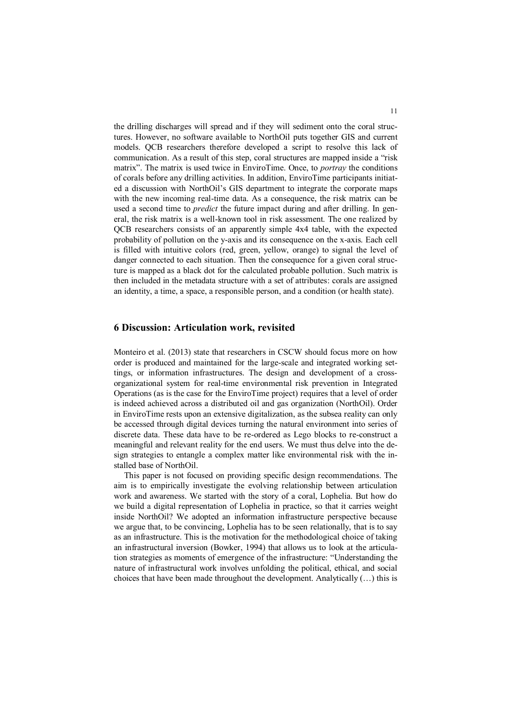the drilling discharges will spread and if they will sediment onto the coral structures. However, no software available to NorthOil puts together GIS and current models. QCB researchers therefore developed a script to resolve this lack of communication. As a result of this step, coral structures are mapped inside a "risk matrix". The matrix is used twice in EnviroTime. Once, to *portray* the conditions of corals before any drilling activities. In addition, EnviroTime participants initiated a discussion with NorthOil's GIS department to integrate the corporate maps with the new incoming real-time data. As a consequence, the risk matrix can be used a second time to *predict* the future impact during and after drilling. In general, the risk matrix is a well-known tool in risk assessment. The one realized by QCB researchers consists of an apparently simple 4x4 table, with the expected probability of pollution on the y-axis and its consequence on the x-axis. Each cell is filled with intuitive colors (red, green, yellow, orange) to signal the level of danger connected to each situation. Then the consequence for a given coral structure is mapped as a black dot for the calculated probable pollution. Such matrix is then included in the metadata structure with a set of attributes: corals are assigned an identity, a time, a space, a responsible person, and a condition (or health state).

## **6 Discussion: Articulation work, revisited**

Monteiro et al. (2013) state that researchers in CSCW should focus more on how order is produced and maintained for the large-scale and integrated working settings, or information infrastructures. The design and development of a crossorganizational system for real-time environmental risk prevention in Integrated Operations (as is the case for the EnviroTime project) requires that a level of order is indeed achieved across a distributed oil and gas organization (NorthOil). Order in EnviroTime rests upon an extensive digitalization, as the subsea reality can only be accessed through digital devices turning the natural environment into series of discrete data. These data have to be re-ordered as Lego blocks to re-construct a meaningful and relevant reality for the end users. We must thus delve into the design strategies to entangle a complex matter like environmental risk with the installed base of NorthOil.

This paper is not focused on providing specific design recommendations. The aim is to empirically investigate the evolving relationship between articulation work and awareness. We started with the story of a coral, Lophelia. But how do we build a digital representation of Lophelia in practice, so that it carries weight inside NorthOil? We adopted an information infrastructure perspective because we argue that, to be convincing, Lophelia has to be seen relationally, that is to say as an infrastructure. This is the motivation for the methodological choice of taking an infrastructural inversion (Bowker, 1994) that allows us to look at the articulation strategies as moments of emergence of the infrastructure: "Understanding the nature of infrastructural work involves unfolding the political, ethical, and social choices that have been made throughout the development. Analytically (…) this is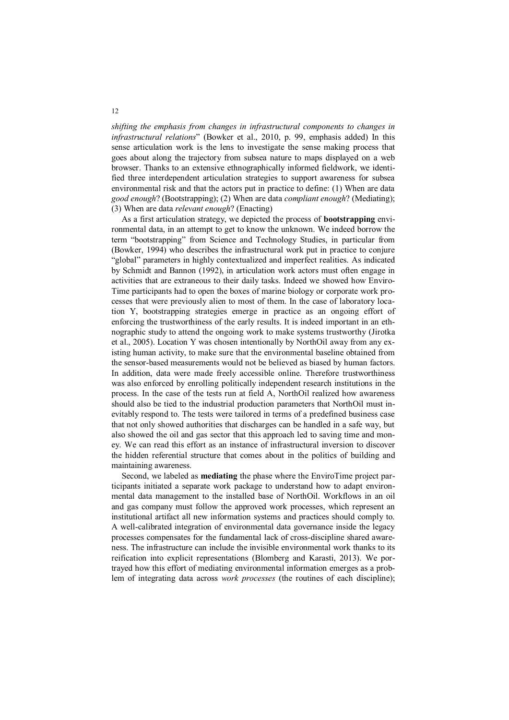*shifting the emphasis from changes in infrastructural components to changes in infrastructural relations*" (Bowker et al., 2010, p. 99, emphasis added) In this sense articulation work is the lens to investigate the sense making process that goes about along the trajectory from subsea nature to maps displayed on a web browser. Thanks to an extensive ethnographically informed fieldwork, we identified three interdependent articulation strategies to support awareness for subsea environmental risk and that the actors put in practice to define: (1) When are data *good enough*? (Bootstrapping); (2) When are data *compliant enough*? (Mediating); (3) When are data *relevant enough*? (Enacting)

As a first articulation strategy, we depicted the process of **bootstrapping** environmental data, in an attempt to get to know the unknown. We indeed borrow the term "bootstrapping" from Science and Technology Studies, in particular from (Bowker, 1994) who describes the infrastructural work put in practice to conjure "global" parameters in highly contextualized and imperfect realities. As indicated by Schmidt and Bannon (1992), in articulation work actors must often engage in activities that are extraneous to their daily tasks. Indeed we showed how Enviro-Time participants had to open the boxes of marine biology or corporate work processes that were previously alien to most of them. In the case of laboratory location Y, bootstrapping strategies emerge in practice as an ongoing effort of enforcing the trustworthiness of the early results. It is indeed important in an ethnographic study to attend the ongoing work to make systems trustworthy (Jirotka et al., 2005). Location Y was chosen intentionally by NorthOil away from any existing human activity, to make sure that the environmental baseline obtained from the sensor-based measurements would not be believed as biased by human factors. In addition, data were made freely accessible online. Therefore trustworthiness was also enforced by enrolling politically independent research institutions in the process. In the case of the tests run at field A, NorthOil realized how awareness should also be tied to the industrial production parameters that NorthOil must inevitably respond to. The tests were tailored in terms of a predefined business case that not only showed authorities that discharges can be handled in a safe way, but also showed the oil and gas sector that this approach led to saving time and money. We can read this effort as an instance of infrastructural inversion to discover the hidden referential structure that comes about in the politics of building and maintaining awareness.

Second, we labeled as **mediating** the phase where the EnviroTime project participants initiated a separate work package to understand how to adapt environmental data management to the installed base of NorthOil. Workflows in an oil and gas company must follow the approved work processes, which represent an institutional artifact all new information systems and practices should comply to. A well-calibrated integration of environmental data governance inside the legacy processes compensates for the fundamental lack of cross-discipline shared awareness. The infrastructure can include the invisible environmental work thanks to its reification into explicit representations (Blomberg and Karasti, 2013). We portrayed how this effort of mediating environmental information emerges as a problem of integrating data across *work processes* (the routines of each discipline);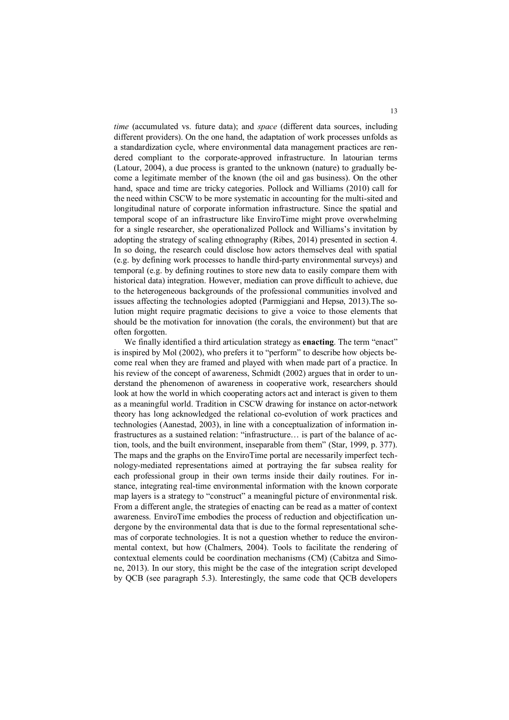*time* (accumulated vs. future data); and *space* (different data sources, including different providers). On the one hand, the adaptation of work processes unfolds as a standardization cycle, where environmental data management practices are rendered compliant to the corporate-approved infrastructure. In latourian terms (Latour, 2004), a due process is granted to the unknown (nature) to gradually become a legitimate member of the known (the oil and gas business). On the other hand, space and time are tricky categories. Pollock and Williams (2010) call for the need within CSCW to be more systematic in accounting for the multi-sited and longitudinal nature of corporate information infrastructure. Since the spatial and temporal scope of an infrastructure like EnviroTime might prove overwhelming for a single researcher, she operationalized Pollock and Williams's invitation by adopting the strategy of scaling ethnography (Ribes, 2014) presented in section 4. In so doing, the research could disclose how actors themselves deal with spatial (e.g. by defining work processes to handle third-party environmental surveys) and temporal (e.g. by defining routines to store new data to easily compare them with historical data) integration. However, mediation can prove difficult to achieve, due to the heterogeneous backgrounds of the professional communities involved and issues affecting the technologies adopted (Parmiggiani and Hepsø, 2013).The solution might require pragmatic decisions to give a voice to those elements that should be the motivation for innovation (the corals, the environment) but that are often forgotten.

We finally identified a third articulation strategy as **enacting**. The term "enact" is inspired by Mol (2002), who prefers it to "perform" to describe how objects become real when they are framed and played with when made part of a practice. In his review of the concept of awareness, Schmidt (2002) argues that in order to understand the phenomenon of awareness in cooperative work, researchers should look at how the world in which cooperating actors act and interact is given to them as a meaningful world. Tradition in CSCW drawing for instance on actor-network theory has long acknowledged the relational co-evolution of work practices and technologies (Aanestad, 2003), in line with a conceptualization of information infrastructures as a sustained relation: "infrastructure… is part of the balance of action, tools, and the built environment, inseparable from them" (Star, 1999, p. 377). The maps and the graphs on the EnviroTime portal are necessarily imperfect technology-mediated representations aimed at portraying the far subsea reality for each professional group in their own terms inside their daily routines. For instance, integrating real-time environmental information with the known corporate map layers is a strategy to "construct" a meaningful picture of environmental risk. From a different angle, the strategies of enacting can be read as a matter of context awareness. EnviroTime embodies the process of reduction and objectification undergone by the environmental data that is due to the formal representational schemas of corporate technologies. It is not a question whether to reduce the environmental context, but how (Chalmers, 2004). Tools to facilitate the rendering of contextual elements could be coordination mechanisms (CM) (Cabitza and Simone, 2013). In our story, this might be the case of the integration script developed by QCB (see paragraph 5.3). Interestingly, the same code that QCB developers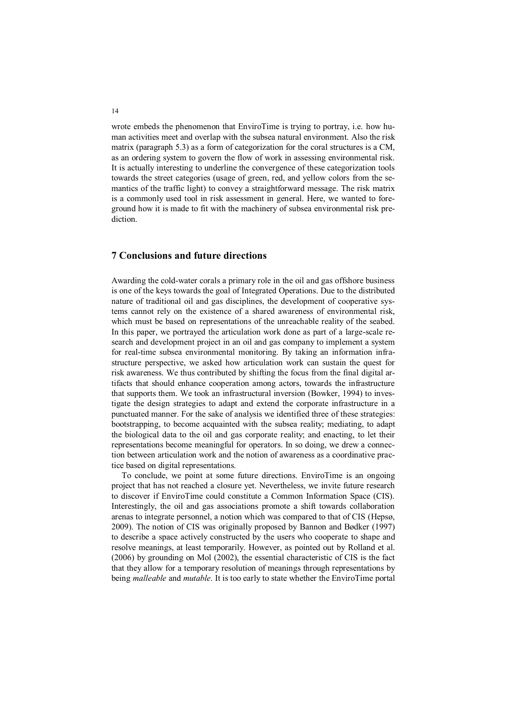wrote embeds the phenomenon that EnviroTime is trying to portray, i.e. how human activities meet and overlap with the subsea natural environment. Also the risk matrix (paragraph 5.3) as a form of categorization for the coral structures is a CM, as an ordering system to govern the flow of work in assessing environmental risk. It is actually interesting to underline the convergence of these categorization tools towards the street categories (usage of green, red, and yellow colors from the semantics of the traffic light) to convey a straightforward message. The risk matrix is a commonly used tool in risk assessment in general. Here, we wanted to foreground how it is made to fit with the machinery of subsea environmental risk prediction.

## **7 Conclusions and future directions**

Awarding the cold-water corals a primary role in the oil and gas offshore business is one of the keys towards the goal of Integrated Operations. Due to the distributed nature of traditional oil and gas disciplines, the development of cooperative systems cannot rely on the existence of a shared awareness of environmental risk, which must be based on representations of the unreachable reality of the seabed. In this paper, we portrayed the articulation work done as part of a large-scale research and development project in an oil and gas company to implement a system for real-time subsea environmental monitoring. By taking an information infrastructure perspective, we asked how articulation work can sustain the quest for risk awareness. We thus contributed by shifting the focus from the final digital artifacts that should enhance cooperation among actors, towards the infrastructure that supports them. We took an infrastructural inversion (Bowker, 1994) to investigate the design strategies to adapt and extend the corporate infrastructure in a punctuated manner. For the sake of analysis we identified three of these strategies: bootstrapping, to become acquainted with the subsea reality; mediating, to adapt the biological data to the oil and gas corporate reality; and enacting, to let their representations become meaningful for operators. In so doing, we drew a connection between articulation work and the notion of awareness as a coordinative practice based on digital representations.

To conclude, we point at some future directions. EnviroTime is an ongoing project that has not reached a closure yet. Nevertheless, we invite future research to discover if EnviroTime could constitute a Common Information Space (CIS). Interestingly, the oil and gas associations promote a shift towards collaboration arenas to integrate personnel, a notion which was compared to that of CIS (Hepsø, 2009). The notion of CIS was originally proposed by Bannon and Bødker (1997) to describe a space actively constructed by the users who cooperate to shape and resolve meanings, at least temporarily. However, as pointed out by Rolland et al. (2006) by grounding on Mol (2002), the essential characteristic of CIS is the fact that they allow for a temporary resolution of meanings through representations by being *malleable* and *mutable*. It is too early to state whether the EnviroTime portal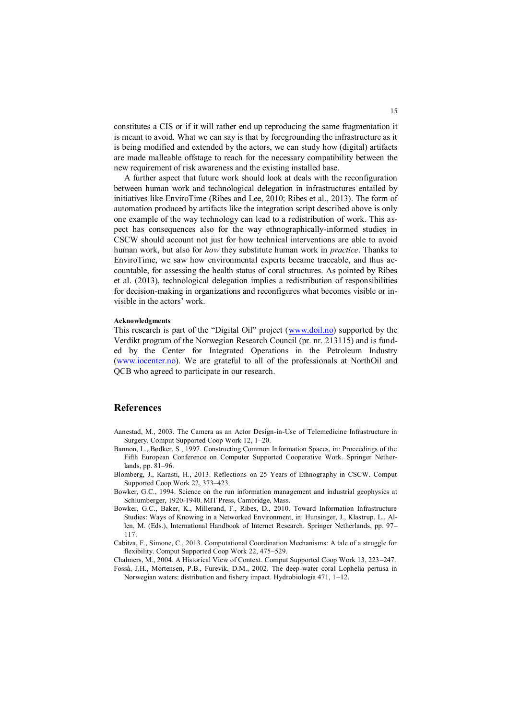constitutes a CIS or if it will rather end up reproducing the same fragmentation it is meant to avoid. What we can say is that by foregrounding the infrastructure as it is being modified and extended by the actors, we can study how (digital) artifacts are made malleable offstage to reach for the necessary compatibility between the new requirement of risk awareness and the existing installed base.

A further aspect that future work should look at deals with the reconfiguration between human work and technological delegation in infrastructures entailed by initiatives like EnviroTime (Ribes and Lee, 2010; Ribes et al., 2013). The form of automation produced by artifacts like the integration script described above is only one example of the way technology can lead to a redistribution of work. This aspect has consequences also for the way ethnographically-informed studies in CSCW should account not just for how technical interventions are able to avoid human work, but also for *how* they substitute human work in *practice*. Thanks to EnviroTime, we saw how environmental experts became traceable, and thus accountable, for assessing the health status of coral structures. As pointed by Ribes et al. (2013), technological delegation implies a redistribution of responsibilities for decision-making in organizations and reconfigures what becomes visible or invisible in the actors' work.

#### **Acknowledgments**

This research is part of the "Digital Oil" project ([www.doil.no\)](http://www.doil.no/) supported by the Verdikt program of the Norwegian Research Council (pr. nr. 213115) and is funded by the Center for Integrated Operations in the Petroleum Industry [\(www.iocenter.no\)](http://www.iocenter.no/). We are grateful to all of the professionals at NorthOil and QCB who agreed to participate in our research.

## **References**

- Aanestad, M., 2003. The Camera as an Actor Design-in-Use of Telemedicine Infrastructure in Surgery. Comput Supported Coop Work 12, 1–20.
- Bannon, L., Bødker, S., 1997. Constructing Common Information Spaces, in: Proceedings of the Fifth European Conference on Computer Supported Cooperative Work. Springer Netherlands, pp. 81–96.
- Blomberg, J., Karasti, H., 2013. Reflections on 25 Years of Ethnography in CSCW. Comput Supported Coop Work 22, 373–423.
- Bowker, G.C., 1994. Science on the run information management and industrial geophysics at Schlumberger, 1920-1940. MIT Press, Cambridge, Mass.
- Bowker, G.C., Baker, K., Millerand, F., Ribes, D., 2010. Toward Information Infrastructure Studies: Ways of Knowing in a Networked Environment, in: Hunsinger, J., Klastrup, L., Allen, M. (Eds.), International Handbook of Internet Research. Springer Netherlands, pp. 97– 117.
- Cabitza, F., Simone, C., 2013. Computational Coordination Mechanisms: A tale of a struggle for flexibility. Comput Supported Coop Work 22, 475–529.
- Chalmers, M., 2004. A Historical View of Context. Comput Supported Coop Work 13, 223–247. Fosså, J.H., Mortensen, P.B., Furevik, D.M., 2002. The deep-water coral Lophelia pertusa in
- Norwegian waters: distribution and fishery impact. Hydrobiologia 471, 1–12.